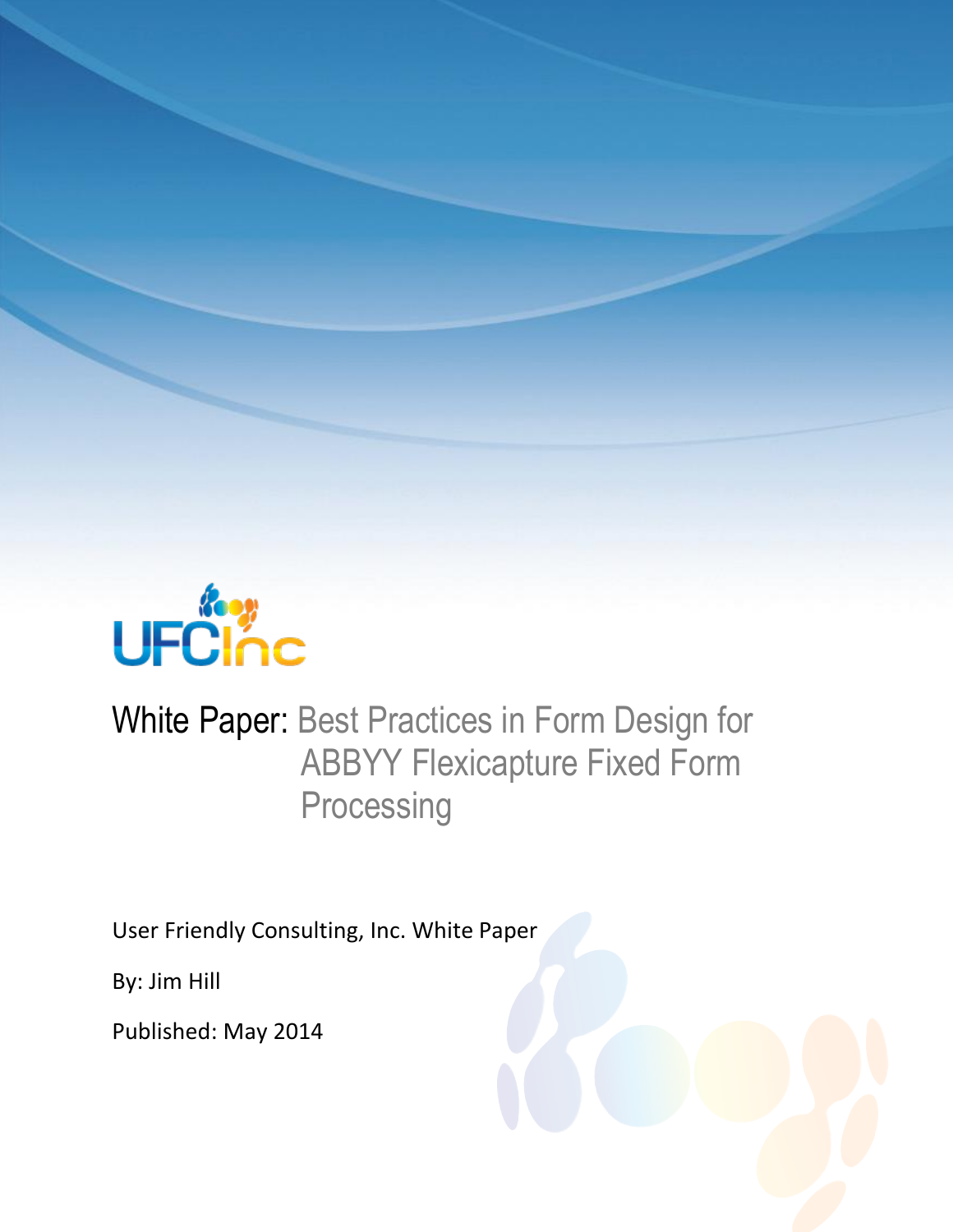

# White Paper: Best Practices in Form Design for ABBYY Flexicapture Fixed Form **Processing**

User Friendly Consulting, Inc. White Paper

By: Jim Hill

Published: May 2014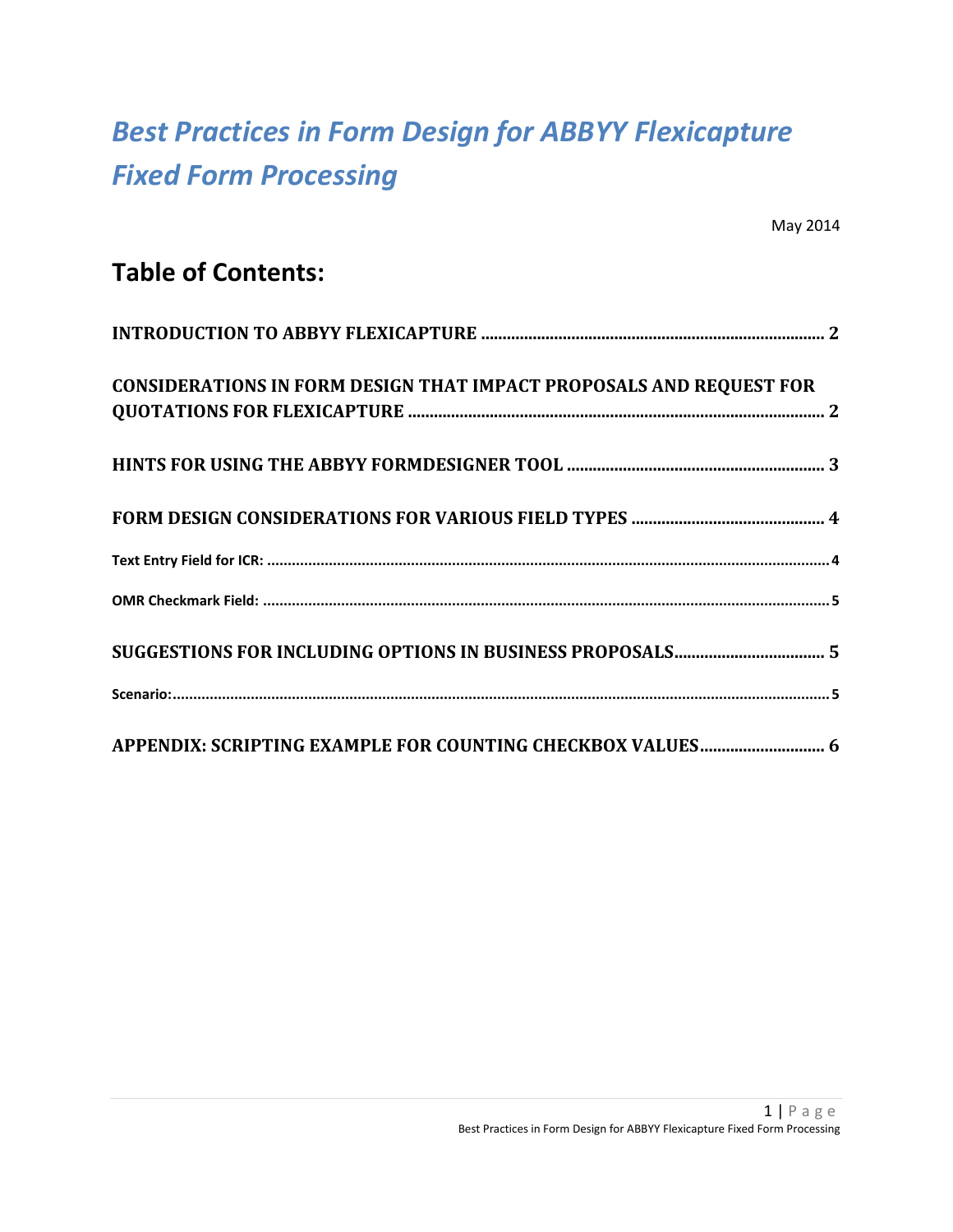# *Best Practices in Form Design for ABBYY Flexicapture Fixed Form Processing*

### **Table of Contents:**

| <b>CONSIDERATIONS IN FORM DESIGN THAT IMPACT PROPOSALS AND REQUEST FOR</b> |
|----------------------------------------------------------------------------|
|                                                                            |
|                                                                            |
|                                                                            |
|                                                                            |
|                                                                            |
|                                                                            |
|                                                                            |
| APPENDIX: SCRIPTING EXAMPLE FOR COUNTING CHECKBOX VALUES 6                 |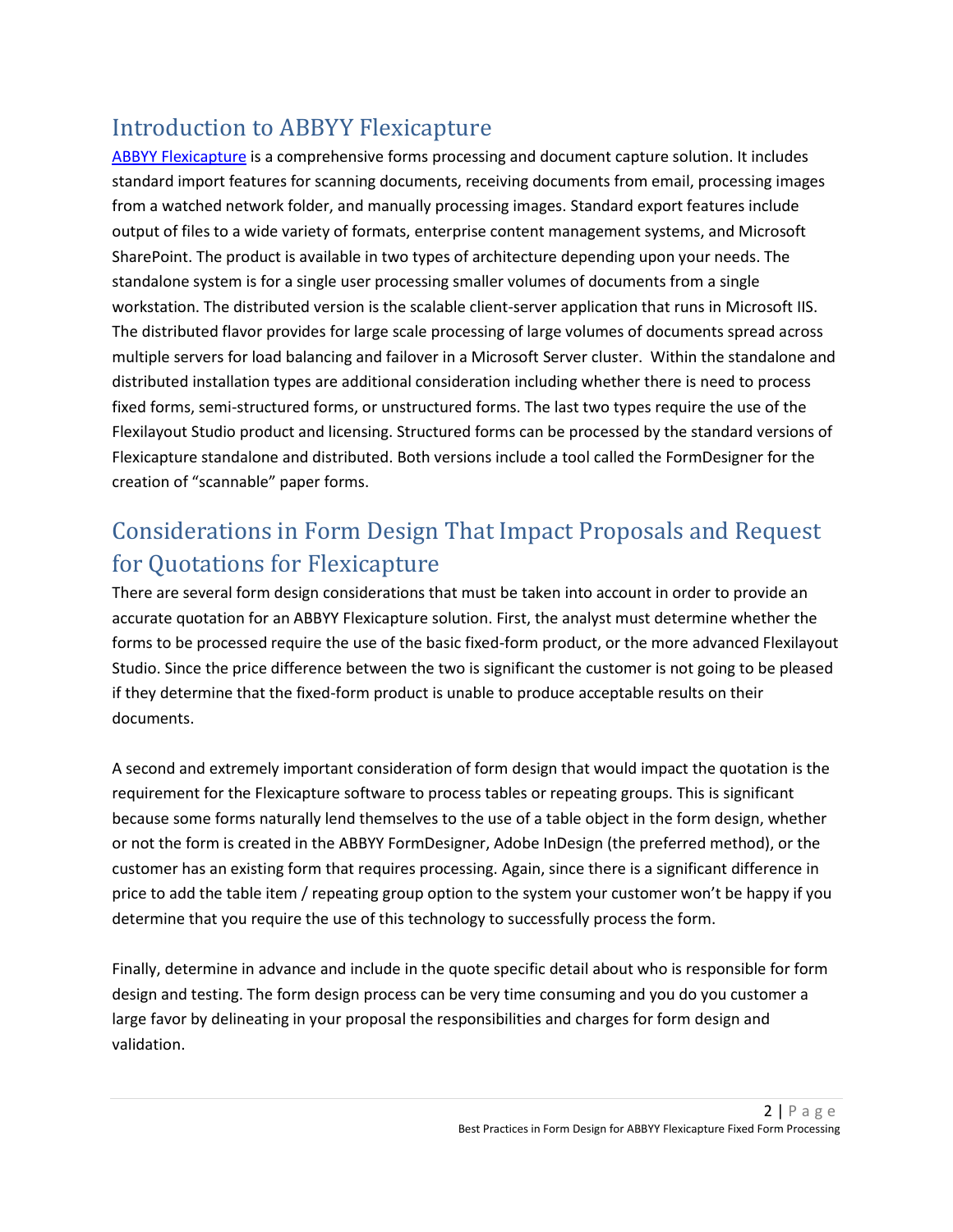### Introduction to ABBYY Flexicapture

[ABBYY Flexicapture i](http://www.ufcinc.com/Data-Capture-and-OCR/abbyy-flexicapture-document-capture-software)s a comprehensive forms processing and document capture solution. It includes standard import features for scanning documents, receiving documents from email, processing images from a watched network folder, and manually processing images. Standard export features include output of files to a wide variety of formats, enterprise content management systems, and Microsoft SharePoint. The product is available in two types of architecture depending upon your needs. The standalone system is for a single user processing smaller volumes of documents from a single workstation. The distributed version is the scalable client-server application that runs in Microsoft IIS. The distributed flavor provides for large scale processing of large volumes of documents spread across multiple servers for load balancing and failover in a Microsoft Server cluster. Within the standalone and distributed installation types are additional consideration including whether there is need to process fixed forms, semi-structured forms, or unstructured forms. The last two types require the use of the Flexilayout Studio product and licensing. Structured forms can be processed by the standard versions of Flexicapture standalone and distributed. Both versions include a tool called the FormDesigner for the creation of "scannable" paper forms.

## Considerations in Form Design That Impact Proposals and Request for Quotations for Flexicapture

There are several form design considerations that must be taken into account in order to provide an accurate quotation for an ABBYY Flexicapture solution. First, the analyst must determine whether the forms to be processed require the use of the basic fixed-form product, or the more advanced Flexilayout Studio. Since the price difference between the two is significant the customer is not going to be pleased if they determine that the fixed-form product is unable to produce acceptable results on their documents.

A second and extremely important consideration of form design that would impact the quotation is the requirement for the Flexicapture software to process tables or repeating groups. This is significant because some forms naturally lend themselves to the use of a table object in the form design, whether or not the form is created in the ABBYY FormDesigner, Adobe InDesign (the preferred method), or the customer has an existing form that requires processing. Again, since there is a significant difference in price to add the table item / repeating group option to the system your customer won't be happy if you determine that you require the use of this technology to successfully process the form.

Finally, determine in advance and include in the quote specific detail about who is responsible for form design and testing. The form design process can be very time consuming and you do you customer a large favor by delineating in your proposal the responsibilities and charges for form design and validation.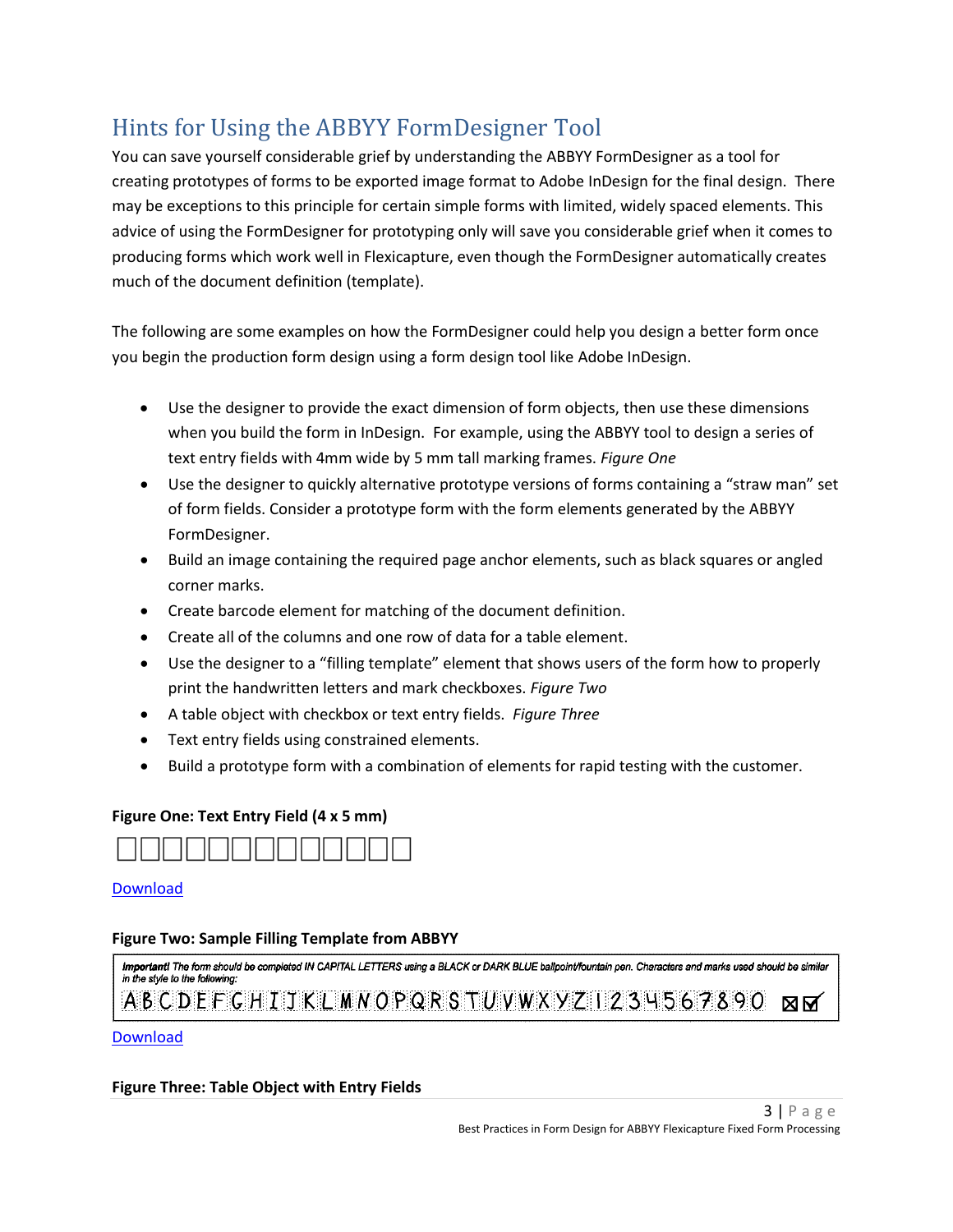## Hints for Using the ABBYY FormDesigner Tool

You can save yourself considerable grief by understanding the ABBYY FormDesigner as a tool for creating prototypes of forms to be exported image format to Adobe InDesign for the final design. There may be exceptions to this principle for certain simple forms with limited, widely spaced elements. This advice of using the FormDesigner for prototyping only will save you considerable grief when it comes to producing forms which work well in Flexicapture, even though the FormDesigner automatically creates much of the document definition (template).

The following are some examples on how the FormDesigner could help you design a better form once you begin the production form design using a form design tool like Adobe InDesign.

- Use the designer to provide the exact dimension of form objects, then use these dimensions when you build the form in InDesign. For example, using the ABBYY tool to design a series of text entry fields with 4mm wide by 5 mm tall marking frames. *Figure One*
- Use the designer to quickly alternative prototype versions of forms containing a "straw man" set of form fields. Consider a prototype form with the form elements generated by the ABBYY FormDesigner.
- Build an image containing the required page anchor elements, such as black squares or angled corner marks.
- Create barcode element for matching of the document definition.
- Create all of the columns and one row of data for a table element.
- Use the designer to a "filling template" element that shows users of the form how to properly print the handwritten letters and mark checkboxes. *Figure Two*
- A table object with checkbox or text entry fields. *Figure Three*
- Text entry fields using constrained elements.
- Build a prototype form with a combination of elements for rapid testing with the customer.

#### **Figure One: Text Entry Field (4 x 5 mm)**



#### [Download](http://www.ufcinc.com/images/text-entry-field.PNG)

#### **Figure Two: Sample Filling Template from ABBYY**



[Download](http://www.ufcinc.com/images/abbyy-filling-template.PNG) 

#### **Figure Three: Table Object with Entry Fields**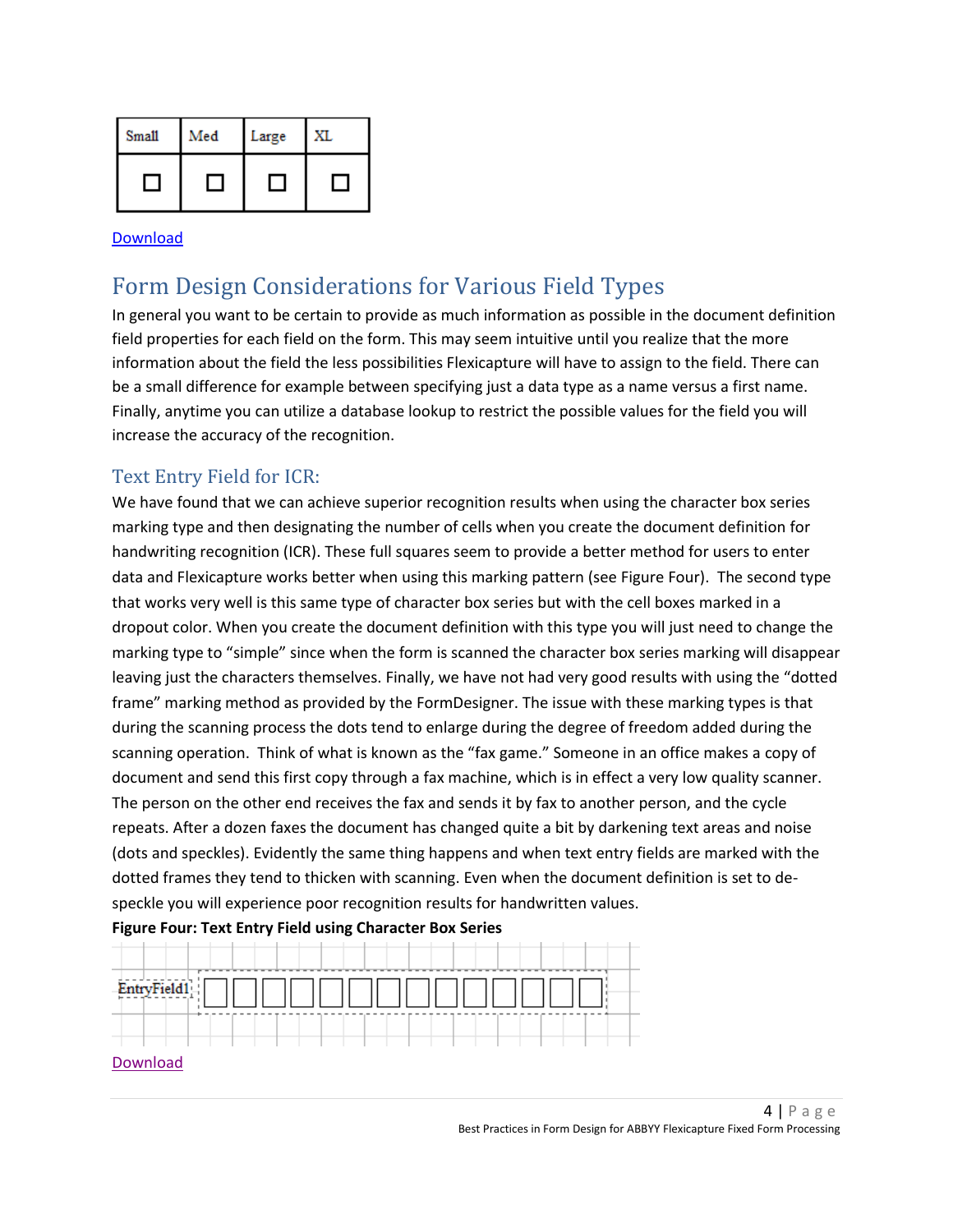| Small | Med | Large | XI. |
|-------|-----|-------|-----|
|       |     |       |     |

[Download](http://www.ufcinc.com/images/table-object.png)

### Form Design Considerations for Various Field Types

In general you want to be certain to provide as much information as possible in the document definition field properties for each field on the form. This may seem intuitive until you realize that the more information about the field the less possibilities Flexicapture will have to assign to the field. There can be a small difference for example between specifying just a data type as a name versus a first name. Finally, anytime you can utilize a database lookup to restrict the possible values for the field you will increase the accuracy of the recognition.

#### Text Entry Field for ICR:

We have found that we can achieve superior recognition results when using the character box series marking type and then designating the number of cells when you create the document definition for handwriting recognition (ICR). These full squares seem to provide a better method for users to enter data and Flexicapture works better when using this marking pattern (see Figure Four). The second type that works very well is this same type of character box series but with the cell boxes marked in a dropout color. When you create the document definition with this type you will just need to change the marking type to "simple" since when the form is scanned the character box series marking will disappear leaving just the characters themselves. Finally, we have not had very good results with using the "dotted frame" marking method as provided by the FormDesigner. The issue with these marking types is that during the scanning process the dots tend to enlarge during the degree of freedom added during the scanning operation. Think of what is known as the "fax game." Someone in an office makes a copy of document and send this first copy through a fax machine, which is in effect a very low quality scanner. The person on the other end receives the fax and sends it by fax to another person, and the cycle repeats. After a dozen faxes the document has changed quite a bit by darkening text areas and noise (dots and speckles). Evidently the same thing happens and when text entry fields are marked with the dotted frames they tend to thicken with scanning. Even when the document definition is set to despeckle you will experience poor recognition results for handwritten values.



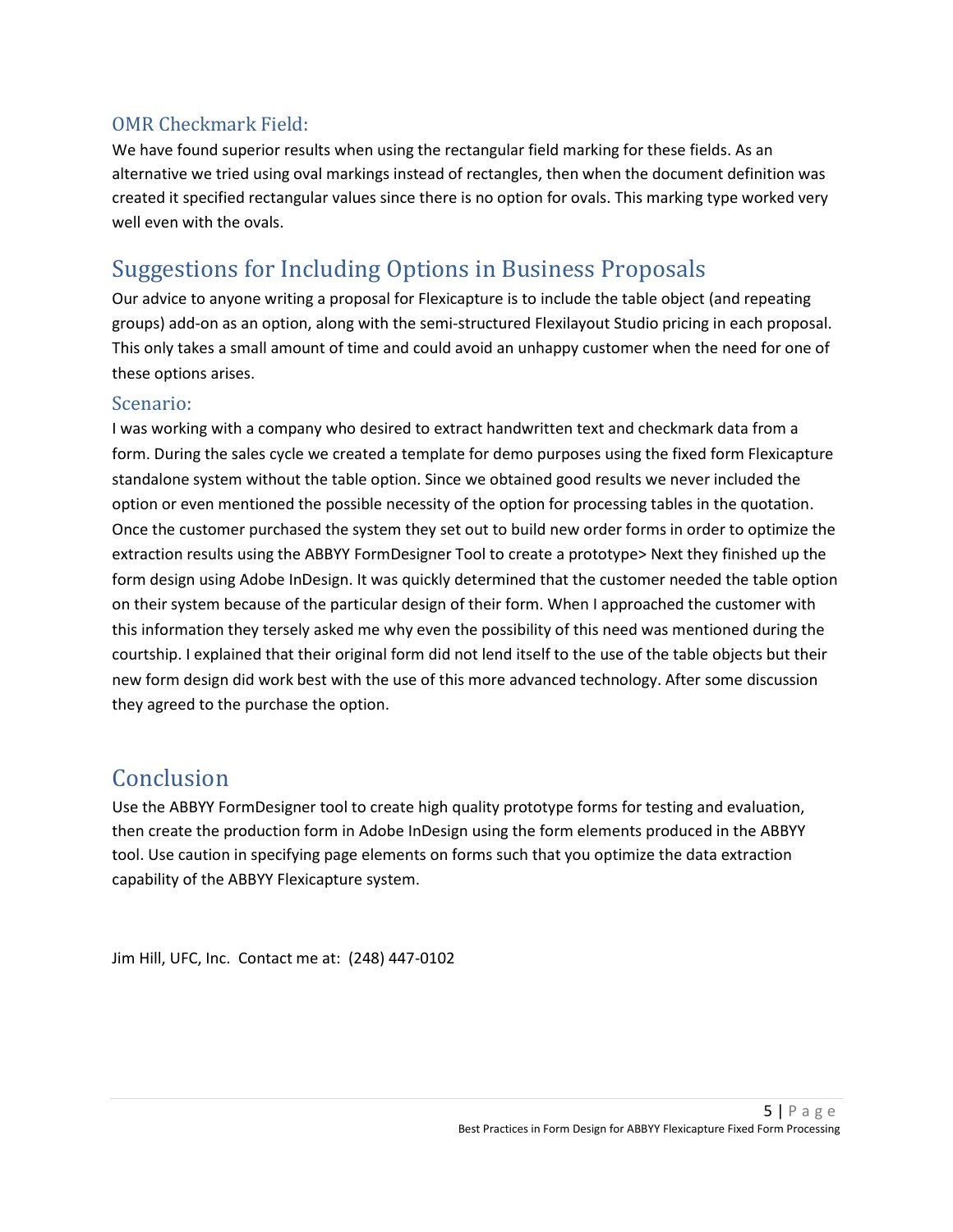#### OMR Checkmark Field:

We have found superior results when using the rectangular field marking for these fields. As an alternative we tried using oval markings instead of rectangles, then when the document definition was created it specified rectangular values since there is no option for ovals. This marking type worked very well even with the ovals.

### Suggestions for Including Options in Business Proposals

Our advice to anyone writing a proposal for Flexicapture is to include the table object (and repeating groups) add-on as an option, along with the semi-structured Flexilayout Studio pricing in each proposal. This only takes a small amount of time and could avoid an unhappy customer when the need for one of these options arises.

#### Scenario:

I was working with a company who desired to extract handwritten text and checkmark data from a form. During the sales cycle we created a template for demo purposes using the fixed form Flexicapture standalone system without the table option. Since we obtained good results we never included the option or even mentioned the possible necessity of the option for processing tables in the quotation. Once the customer purchased the system they set out to build new order forms in order to optimize the extraction results using the ABBYY FormDesigner Tool to create a prototype> Next they finished up the form design using Adobe InDesign. It was quickly determined that the customer needed the table option on their system because of the particular design of their form. When I approached the customer with this information they tersely asked me why even the possibility of this need was mentioned during the courtship. I explained that their original form did not lend itself to the use of the table objects but their new form design did work best with the use of this more advanced technology. After some discussion they agreed to the purchase the option.

### Conclusion

Use the ABBYY FormDesigner tool to create high quality prototype forms for testing and evaluation, then create the production form in Adobe InDesign using the form elements produced in the ABBYY tool. Use caution in specifying page elements on forms such that you optimize the data extraction capability of the ABBYY Flexicapture system.

Jim Hill, UFC, Inc. Contact me at: (248) 447-0102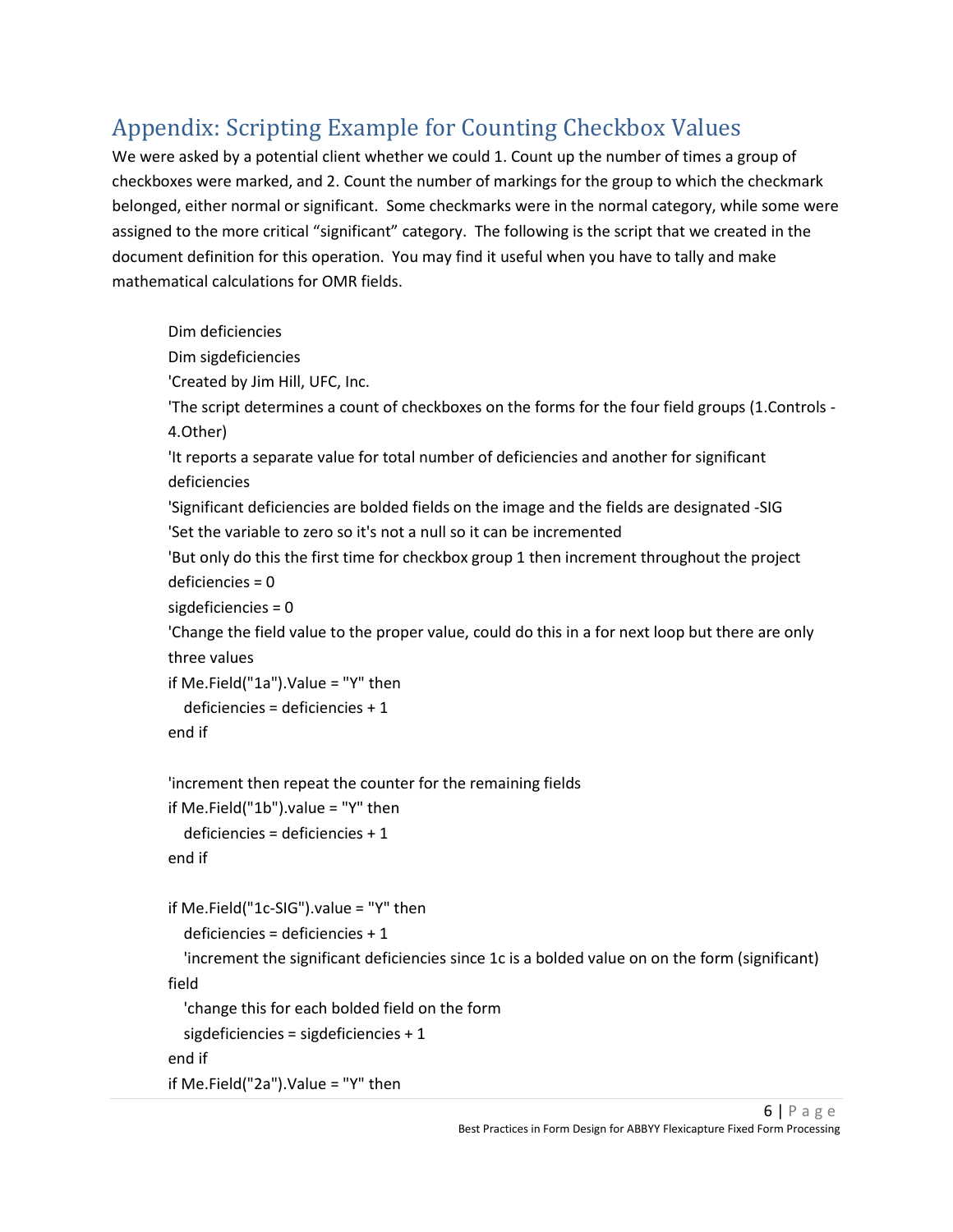## Appendix: Scripting Example for Counting Checkbox Values

We were asked by a potential client whether we could 1. Count up the number of times a group of checkboxes were marked, and 2. Count the number of markings for the group to which the checkmark belonged, either normal or significant. Some checkmarks were in the normal category, while some were assigned to the more critical "significant" category. The following is the script that we created in the document definition for this operation. You may find it useful when you have to tally and make mathematical calculations for OMR fields.

Dim deficiencies Dim sigdeficiencies 'Created by Jim Hill, UFC, Inc. 'The script determines a count of checkboxes on the forms for the four field groups (1.Controls - 4.Other) 'It reports a separate value for total number of deficiencies and another for significant deficiencies 'Significant deficiencies are bolded fields on the image and the fields are designated -SIG 'Set the variable to zero so it's not a null so it can be incremented 'But only do this the first time for checkbox group 1 then increment throughout the project deficiencies = 0 sigdeficiencies = 0 'Change the field value to the proper value, could do this in a for next loop but there are only three values if Me.Field("1a").Value = "Y" then deficiencies = deficiencies + 1 end if 'increment then repeat the counter for the remaining fields if Me.Field("1b").value = "Y" then deficiencies = deficiencies + 1 end if if Me.Field("1c-SIG").value = "Y" then deficiencies = deficiencies + 1 'increment the significant deficiencies since 1c is a bolded value on on the form (significant) field 'change this for each bolded field on the form sigdeficiencies = sigdeficiencies + 1 end if if Me.Field("2a").Value = "Y" then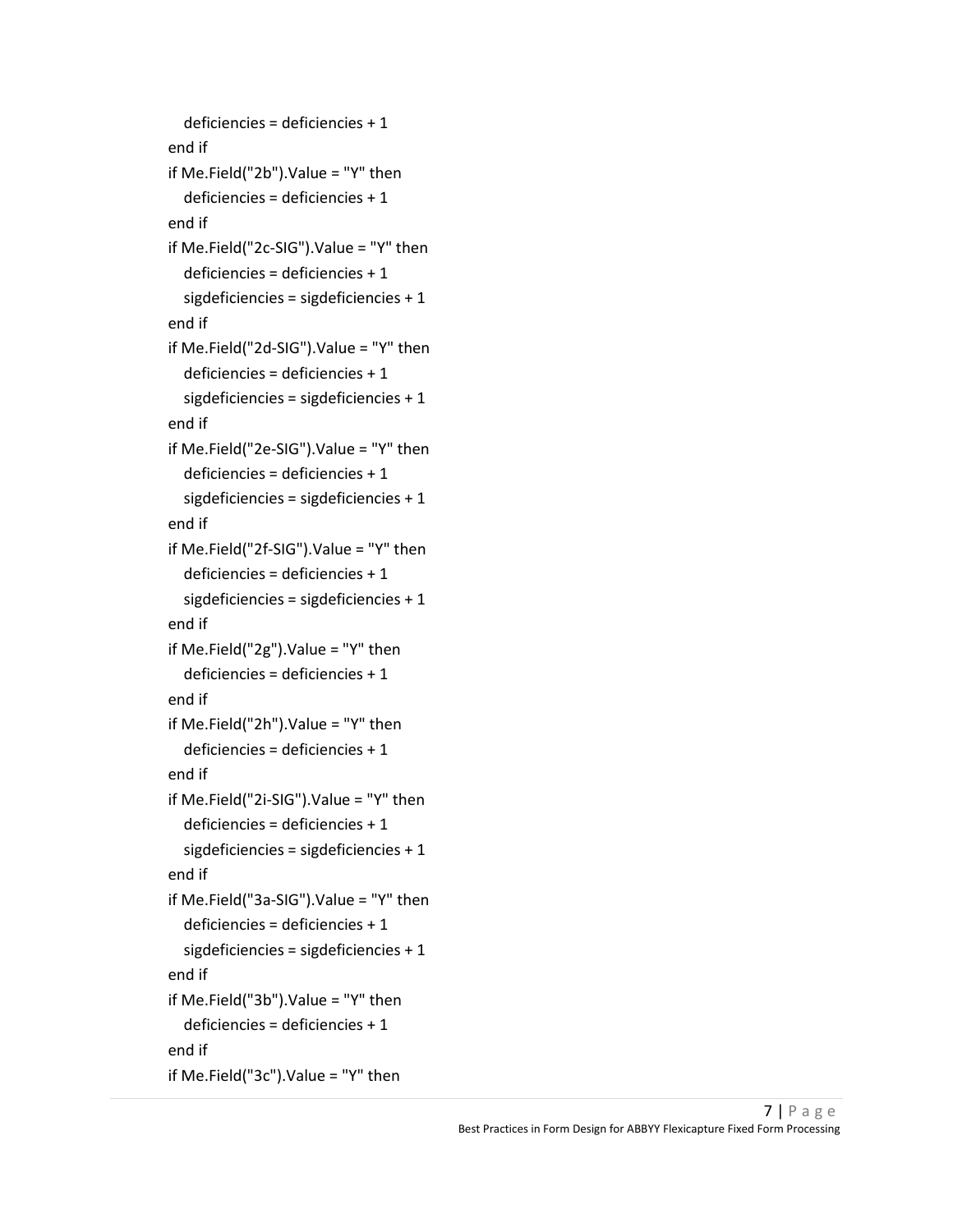```
 deficiencies = deficiencies + 1 
end if 
if Me.Field("2b").Value = "Y" then 
   deficiencies = deficiencies + 1 
end if 
if Me.Field("2c-SIG").Value = "Y" then 
   deficiencies = deficiencies + 1 
   sigdeficiencies = sigdeficiencies + 1 
end if 
if Me.Field("2d-SIG").Value = "Y" then 
   deficiencies = deficiencies + 1 
   sigdeficiencies = sigdeficiencies + 1 
end if 
if Me.Field("2e-SIG").Value = "Y" then 
   deficiencies = deficiencies + 1 
   sigdeficiencies = sigdeficiencies + 1 
end if 
if Me.Field("2f-SIG").Value = "Y" then 
   deficiencies = deficiencies + 1 
   sigdeficiencies = sigdeficiencies + 1 
end if 
if Me.Field("2g").Value = "Y" then 
   deficiencies = deficiencies + 1 
end if 
if Me.Field("2h").Value = "Y" then 
   deficiencies = deficiencies + 1 
end if 
if Me.Field("2i-SIG").Value = "Y" then 
   deficiencies = deficiencies + 1 
   sigdeficiencies = sigdeficiencies + 1 
end if 
if Me.Field("3a-SIG").Value = "Y" then 
   deficiencies = deficiencies + 1 
   sigdeficiencies = sigdeficiencies + 1 
end if 
if Me.Field("3b").Value = "Y" then 
   deficiencies = deficiencies + 1 
end if 
if Me.Field("3c").Value = "Y" then
```